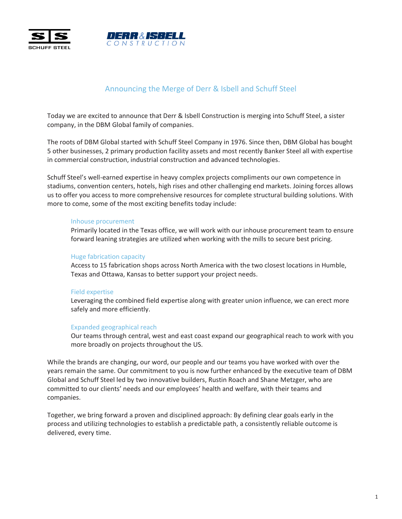



# Announcing the Merge of Derr & Isbell and Schuff Steel

Today we are excited to announce that Derr & Isbell Construction is merging into Schuff Steel, a sister company, in the DBM Global family of companies.

The roots of DBM Global started with Schuff Steel Company in 1976. Since then, DBM Global has bought 5 other businesses, 2 primary production facility assets and most recently Banker Steel all with expertise in commercial construction, industrial construction and advanced technologies.

Schuff Steel's well-earned expertise in heavy complex projects compliments our own competence in stadiums, convention centers, hotels, high rises and other challenging end markets. Joining forces allows us to offer you access to more comprehensive resources for complete structural building solutions. With more to come, some of the most exciting benefits today include:

### Inhouse procurement

Primarily located in the Texas office, we will work with our inhouse procurement team to ensure forward leaning strategies are utilized when working with the mills to secure best pricing.

## Huge fabrication capacity

Access to 15 fabrication shops across North America with the two closest locations in Humble, Texas and Ottawa, Kansas to better support your project needs.

# **Field expertise**

Leveraging the combined field expertise along with greater union influence, we can erect more safely and more efficiently.

### Expanded geographical reach

Our teams through central, west and east coast expand our geographical reach to work with you more broadly on projects throughout the US.

While the brands are changing, our word, our people and our teams you have worked with over the years remain the same. Our commitment to you is now further enhanced by the executive team of DBM Global and Schuff Steel led by two innovative builders, Rustin Roach and Shane Metzger, who are committed to our clients' needs and our employees' health and welfare, with their teams and .companies

Together, we bring forward a proven and disciplined approach: By defining clear goals early in the process and utilizing technologies to establish a predictable path, a consistently reliable outcome is delivered, every time.